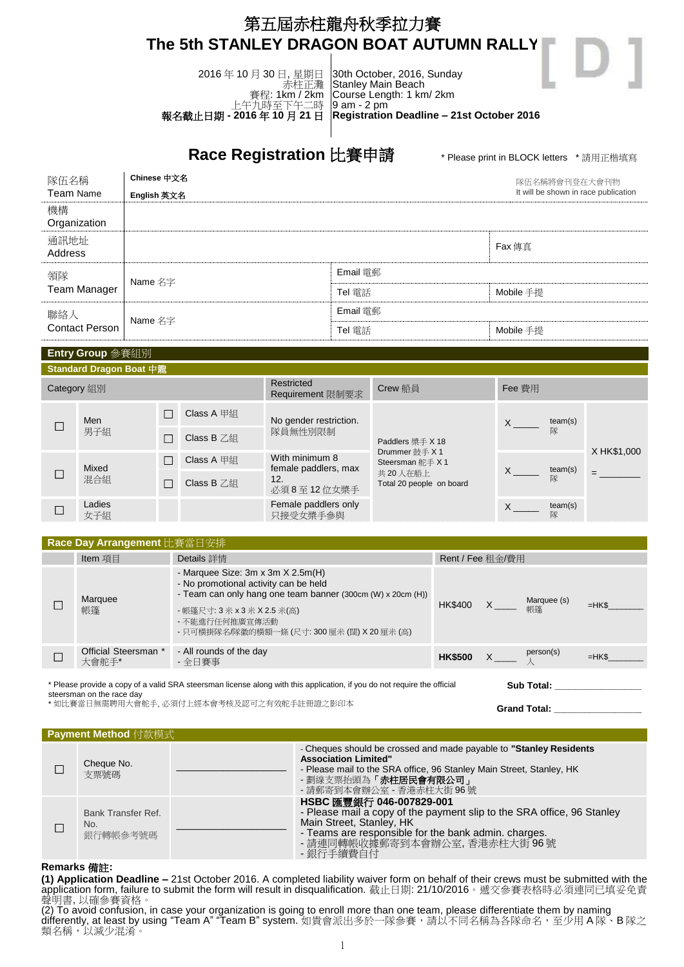## 第五屆赤柱龍舟秋季拉力賽 **The 5th STANLEY DRAGON BOAT AUTUMN RALLY**

2016 年 10 月 30 日, 星期日 [赤柱正灘](http://www.dragonboat.org.hk/pix/Map/Map---practice.gif) 賽程: 1km / 2km 上午九時至下午二時 報名截止日期 **- 2016** 年 **10** 月 **21** 日

30th October, 2016, Sunday Stanley Main Beach Course Length: 1 km/ 2km 9 am - 2 pm **Registration Deadline – 21st October 2016**

**Race Registration 比賽申請** *\* Please print in BLOCK letters \* 請用正楷填寫* 

| 隊伍名稱                  | Chinese 中文名 | 隊伍名稱將會刊登在大會刊物 |                                      |  |
|-----------------------|-------------|---------------|--------------------------------------|--|
| Team Name             | English 英文名 |               | It will be shown in race publication |  |
| 機構<br>Organization    |             |               |                                      |  |
| 通訊地址<br>Address       |             |               |                                      |  |
| 領隊<br>Team Manager    | Name 名字     | Email 雷郵      |                                      |  |
|                       |             | Tel 雷話        | Mobile 手提                            |  |
| 聯絡人<br>Contact Person | Name 名字     | Email 電郵      |                                      |  |
|                       |             | Tel 電話        | Mobile 手提                            |  |

| Entry Group 参賽組別        |               |  |                        |                                                             |                                                                                               |                                   |              |             |
|-------------------------|---------------|--|------------------------|-------------------------------------------------------------|-----------------------------------------------------------------------------------------------|-----------------------------------|--------------|-------------|
| Standard Dragon Boat 中龍 |               |  |                        |                                                             |                                                                                               |                                   |              |             |
|                         | Category 組別   |  |                        | Restricted<br>Requirement 限制要求                              | Crew 船員                                                                                       | Fee 費用                            |              |             |
|                         | Men           |  | Class A 甲組             | No gender restriction.<br>隊員無性別限制                           | Paddlers 槳手 X 18<br>Drummer 鼓手 X 1<br>Steersman 舵手 X 1<br>共20人在船上<br>Total 20 people on board | team(s)<br>$X$ <sub>__</sub><br>隊 |              |             |
|                         | 男子組           |  | Class $B \mathbb{Z}$ 絹 |                                                             |                                                                                               |                                   |              |             |
|                         | Mixed         |  | Class A 甲組             | With minimum 8<br>female paddlers, max<br>12.<br>必須8至12位女槳手 |                                                                                               | team(s)<br>X.<br>隊                |              | X HK\$1,000 |
|                         | 混合組           |  | Class $B \text{ Z}$    |                                                             |                                                                                               |                                   | $=$          |             |
|                         | Ladies<br>女子組 |  |                        | Female paddlers only<br>只接受女槳手參與                            |                                                                                               | X                                 | team(s)<br>隊 |             |

| Race Day Arrangement 比賽當日安排 |                               |                                                                                                                                                                                                                                                         |                  |  |                   |        |
|-----------------------------|-------------------------------|---------------------------------------------------------------------------------------------------------------------------------------------------------------------------------------------------------------------------------------------------------|------------------|--|-------------------|--------|
|                             | Item 項目                       | Details 詳情                                                                                                                                                                                                                                              | Rent / Fee 租金/費用 |  |                   |        |
|                             | Marquee<br>帳篷                 | - Marquee Size: $3m \times 3m \times 2.5m(H)$<br>- No promotional activity can be held<br>- Team can only hang one team banner (300cm (W) x 20cm (H))<br>- 帳篷尺寸: 3 米 x 3 米 X 2.5 米(高)<br>- 不能進行任何推廣宣傳活動<br>- 只可橫掛隊名/隊徽的橫額一條 (尺寸: 300 厘米 (闊) X 20 厘米 (高) | <b>HK\$400</b>   |  | Marquee (s)<br>帳篷 | $=HK$$ |
|                             | Official Steersman *<br>大會舵手* | - All rounds of the day<br>- 全日賽事                                                                                                                                                                                                                       | <b>HK\$500</b>   |  | person(s)         | $=HK$$ |
|                             |                               |                                                                                                                                                                                                                                                         |                  |  |                   |        |

\* Please provide a copy of a valid SRA steersman license along with this application, if you do not require the official steersman on the race day \* 如比賽當日無需聘用大會舵手, 必須付上經本會考核及認可之有效舵手註冊證之影印本 **Sub Total: \_\_\_\_\_\_\_\_\_\_\_\_\_\_\_\_\_ Grand Total: \_\_\_\_\_\_\_\_\_\_\_\_\_\_\_\_\_**

|  | Payment Method 付款模式 |
|--|---------------------|
|  |                     |

| Cheque No.<br>支票號碼                    | - Cheques should be crossed and made payable to "Stanley Residents"<br><b>Association Limited"</b><br>- Please mail to the SRA office, 96 Stanley Main Street, Stanley, HK<br>- 劃線支票抬頭為「赤柱居民會有限公司」<br>- 請郵寄到本會辦公室 - 香港赤柱大街 96號       |
|---------------------------------------|--------------------------------------------------------------------------------------------------------------------------------------------------------------------------------------------------------------------------------------|
| Bank Transfer Ref.<br>No.<br>銀行轉帳參考號碼 | HSBC 匯豐銀行 046-007829-001<br>- Please mail a copy of the payment slip to the SRA office, 96 Stanley<br>Main Street, Stanley, HK<br>- Teams are responsible for the bank admin. charges.<br>- 請連同轉帳收據郵寄到本會辦公室, 香港赤柱大街 96號<br>- 銀行手續費自付 |

## **Remarks** 備註**:**

**(1) Application Deadline –** 21st October 2016. A completed liability waiver form on behalf of their crews must be submitted with the application form, failure to submit the form will result in disqualification. 截止日期: 21/10/2016。遞交參賽表格時必須連同已填妥免責 聲明書, 以確參賽資格。

(2) To avoid confusion, in case your organization is going to enroll more than one team, please differentiate them by naming differently, at least by using "Team A" "Team B" system. 如貴會派出多於一隊參賽,請以不同名稱為各隊命名,至少用 A 隊,B 隊之 類名稱,以減少混淆。